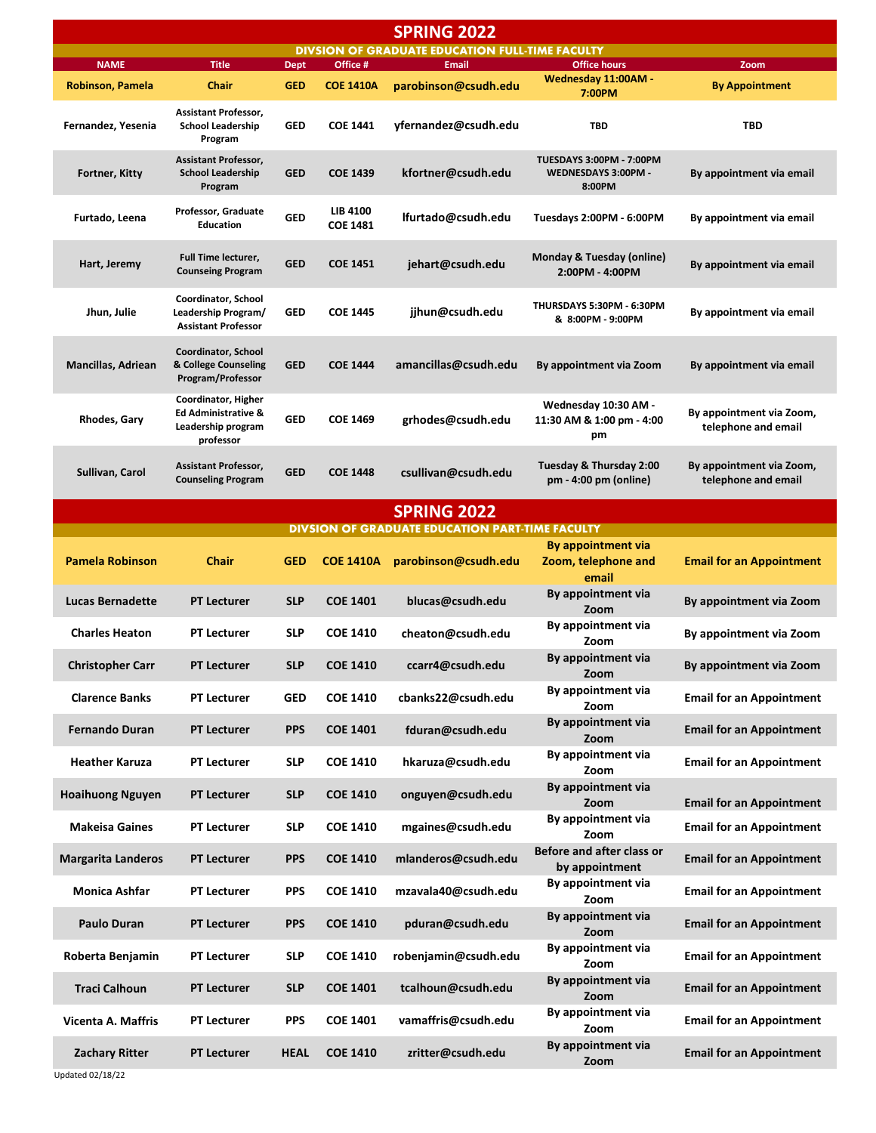| <b>SPRING 2022</b>                                                                                                                               |                                                                                          |                           |                                    |                      |                                                                  |                                                 |
|--------------------------------------------------------------------------------------------------------------------------------------------------|------------------------------------------------------------------------------------------|---------------------------|------------------------------------|----------------------|------------------------------------------------------------------|-------------------------------------------------|
| <b>DIVSION OF GRADUATE EDUCATION FULL-TIME FACULTY</b><br><b>Office hours</b><br><b>NAME</b><br><b>Title</b><br>Office #<br><b>Email</b><br>Zoom |                                                                                          |                           |                                    |                      |                                                                  |                                                 |
| <b>Robinson, Pamela</b>                                                                                                                          | Chair                                                                                    | <b>Dept</b><br><b>GED</b> | <b>COE 1410A</b>                   | parobinson@csudh.edu | Wednesday 11:00AM -<br>7:00PM                                    | <b>By Appointment</b>                           |
| Fernandez, Yesenia                                                                                                                               | <b>Assistant Professor,</b><br><b>School Leadership</b><br>Program                       | GED                       | <b>COE 1441</b>                    | yfernandez@csudh.edu | <b>TBD</b>                                                       | <b>TBD</b>                                      |
| <b>Fortner, Kitty</b>                                                                                                                            | <b>Assistant Professor,</b><br><b>School Leadership</b><br>Program                       | <b>GED</b>                | <b>COE 1439</b>                    | kfortner@csudh.edu   | <b>TUESDAYS 3:00PM - 7:00PM</b><br>WEDNESDAYS 3:00PM -<br>8:00PM | By appointment via email                        |
| Furtado, Leena                                                                                                                                   | Professor, Graduate<br><b>Education</b>                                                  | <b>GED</b>                | <b>LIB 4100</b><br><b>COE 1481</b> | lfurtado@csudh.edu   | Tuesdays 2:00PM - 6:00PM                                         | By appointment via email                        |
| Hart, Jeremy                                                                                                                                     | <b>Full Time lecturer,</b><br><b>Counseing Program</b>                                   | <b>GED</b>                | <b>COE 1451</b>                    | jehart@csudh.edu     | Monday & Tuesday (online)<br>2:00PM - 4:00PM                     | By appointment via email                        |
| Jhun, Julie                                                                                                                                      | Coordinator, School<br>Leadership Program/<br><b>Assistant Professor</b>                 | <b>GED</b>                | <b>COE 1445</b>                    | jjhun@csudh.edu      | THURSDAYS 5:30PM - 6:30PM<br>& 8:00PM - 9:00PM                   | By appointment via email                        |
| <b>Mancillas, Adriean</b>                                                                                                                        | Coordinator, School<br>& College Counseling<br>Program/Professor                         | <b>GED</b>                | <b>COE 1444</b>                    | amancillas@csudh.edu | By appointment via Zoom                                          | By appointment via email                        |
| Rhodes, Gary                                                                                                                                     | Coordinator, Higher<br><b>Ed Administrative &amp;</b><br>Leadership program<br>professor | <b>GED</b>                | <b>COE 1469</b>                    | grhodes@csudh.edu    | Wednesday 10:30 AM -<br>11:30 AM & 1:00 pm - 4:00<br>pm          | By appointment via Zoom,<br>telephone and email |
| Sullivan, Carol                                                                                                                                  | <b>Assistant Professor,</b><br><b>Counseling Program</b>                                 | <b>GED</b>                | <b>COE 1448</b>                    | csullivan@csudh.edu  | Tuesday & Thursday 2:00<br>pm - 4:00 pm (online)                 | By appointment via Zoom,<br>telephone and email |
| <b>SPRING 2022</b>                                                                                                                               |                                                                                          |                           |                                    |                      |                                                                  |                                                 |
| <b>DIVSION OF GRADUATE EDUCATION PART-TIME FACULTY</b>                                                                                           |                                                                                          |                           |                                    |                      |                                                                  |                                                 |
| <b>Pamela Robinson</b>                                                                                                                           | <b>Chair</b>                                                                             | <b>GED</b>                | <b>COE 1410A</b>                   | parobinson@csudh.edu | By appointment via<br>Zoom, telephone and<br>email               | <b>Email for an Appointment</b>                 |
| <b>Lucas Bernadette</b>                                                                                                                          | <b>PT Lecturer</b>                                                                       | <b>SLP</b>                | <b>COE 1401</b>                    | blucas@csudh.edu     | By appointment via<br>Zoom                                       | By appointment via Zoom                         |
| <b>Charles Heaton</b>                                                                                                                            | PT Lecturer                                                                              | <b>SLP</b>                | <b>COE 1410</b>                    | cheaton@csudh.edu    | By appointment via<br>Zoom                                       | By appointment via Zoom                         |
| <b>Christopher Carr</b>                                                                                                                          | <b>PT Lecturer</b>                                                                       | <b>SLP</b>                | <b>COE 1410</b>                    | ccarr4@csudh.edu     | <b>By appointment via</b><br>Zoom                                | By appointment via Zoom                         |
| <b>Clarence Banks</b>                                                                                                                            | <b>PT Lecturer</b>                                                                       | <b>GED</b>                | <b>COE 1410</b>                    | cbanks22@csudh.edu   | By appointment via<br>Zoom                                       | <b>Email for an Appointment</b>                 |
| <b>Fernando Duran</b>                                                                                                                            | <b>PT Lecturer</b>                                                                       | <b>PPS</b>                | <b>COE 1401</b>                    | fduran@csudh.edu     | By appointment via<br>Zoom                                       | <b>Email for an Appointment</b>                 |
| <b>Heather Karuza</b>                                                                                                                            | PT Lecturer                                                                              | <b>SLP</b>                | <b>COE 1410</b>                    | hkaruza@csudh.edu    | By appointment via<br>Zoom                                       | <b>Email for an Appointment</b>                 |
| <b>Hoaihuong Nguyen</b>                                                                                                                          | PT Lecturer                                                                              | <b>SLP</b>                | <b>COE 1410</b>                    | onguyen@csudh.edu    | By appointment via<br>Zoom                                       | <b>Email for an Appointment</b>                 |
| <b>Makeisa Gaines</b>                                                                                                                            | PT Lecturer                                                                              | <b>SLP</b>                | <b>COE 1410</b>                    | mgaines@csudh.edu    | By appointment via<br>Zoom                                       | <b>Email for an Appointment</b>                 |
| <b>Margarita Landeros</b>                                                                                                                        | PT Lecturer                                                                              | <b>PPS</b>                | <b>COE 1410</b>                    | mlanderos@csudh.edu  | Before and after class or<br>by appointment                      | <b>Email for an Appointment</b>                 |
| <b>Monica Ashfar</b>                                                                                                                             | PT Lecturer                                                                              | <b>PPS</b>                | <b>COE 1410</b>                    | mzavala40@csudh.edu  | By appointment via<br>Zoom                                       | <b>Email for an Appointment</b>                 |
| <b>Paulo Duran</b>                                                                                                                               | <b>PT Lecturer</b>                                                                       | <b>PPS</b>                | <b>COE 1410</b>                    | pduran@csudh.edu     | By appointment via<br>Zoom                                       | <b>Email for an Appointment</b>                 |
| Roberta Benjamin                                                                                                                                 | <b>PT Lecturer</b>                                                                       | <b>SLP</b>                | <b>COE 1410</b>                    | robenjamin@csudh.edu | By appointment via<br>Zoom                                       | <b>Email for an Appointment</b>                 |
| <b>Traci Calhoun</b>                                                                                                                             | <b>PT Lecturer</b>                                                                       | <b>SLP</b>                | <b>COE 1401</b>                    | tcalhoun@csudh.edu   | By appointment via<br>Zoom                                       | <b>Email for an Appointment</b>                 |
| Vicenta A. Maffris                                                                                                                               | PT Lecturer                                                                              | <b>PPS</b>                | <b>COE 1401</b>                    | vamaffris@csudh.edu  | By appointment via<br>Zoom                                       | <b>Email for an Appointment</b>                 |
| <b>Zachary Ritter</b>                                                                                                                            | PT Lecturer                                                                              | <b>HEAL</b>               | <b>COE 1410</b>                    | zritter@csudh.edu    | By appointment via<br>Zoom                                       | <b>Email for an Appointment</b>                 |
| Updated 02/18/22                                                                                                                                 |                                                                                          |                           |                                    |                      |                                                                  |                                                 |